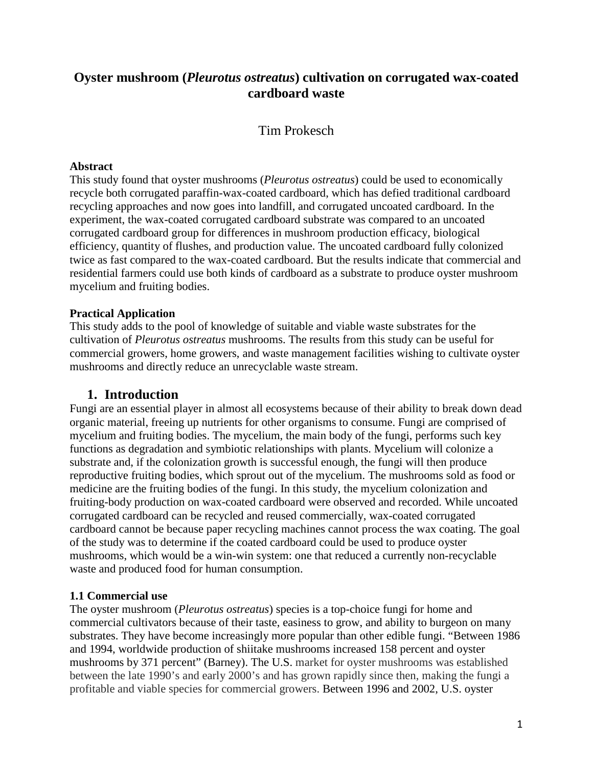# **Oyster mushroom (***Pleurotus ostreatus***) cultivation on corrugated wax-coated cardboard waste**

Tim Prokesch

### **Abstract**

This study found that oyster mushrooms (*Pleurotus ostreatus*) could be used to economically recycle both corrugated paraffin-wax-coated cardboard, which has defied traditional cardboard recycling approaches and now goes into landfill, and corrugated uncoated cardboard. In the experiment, the wax-coated corrugated cardboard substrate was compared to an uncoated corrugated cardboard group for differences in mushroom production efficacy, biological efficiency, quantity of flushes, and production value. The uncoated cardboard fully colonized twice as fast compared to the wax-coated cardboard. But the results indicate that commercial and residential farmers could use both kinds of cardboard as a substrate to produce oyster mushroom mycelium and fruiting bodies.

# **Practical Application**

This study adds to the pool of knowledge of suitable and viable waste substrates for the cultivation of *Pleurotus ostreatus* mushrooms. The results from this study can be useful for commercial growers, home growers, and waste management facilities wishing to cultivate oyster mushrooms and directly reduce an unrecyclable waste stream.

# **1. Introduction**

Fungi are an essential player in almost all ecosystems because of their ability to break down dead organic material, freeing up nutrients for other organisms to consume. Fungi are comprised of mycelium and fruiting bodies. The mycelium, the main body of the fungi, performs such key functions as degradation and symbiotic relationships with plants. Mycelium will colonize a substrate and, if the colonization growth is successful enough, the fungi will then produce reproductive fruiting bodies, which sprout out of the mycelium. The mushrooms sold as food or medicine are the fruiting bodies of the fungi. In this study, the mycelium colonization and fruiting-body production on wax-coated cardboard were observed and recorded. While uncoated corrugated cardboard can be recycled and reused commercially, wax-coated corrugated cardboard cannot be because paper recycling machines cannot process the wax coating. The goal of the study was to determine if the coated cardboard could be used to produce oyster mushrooms, which would be a win-win system: one that reduced a currently non-recyclable waste and produced food for human consumption.

# **1.1 Commercial use**

The oyster mushroom (*Pleurotus ostreatus*) species is a top-choice fungi for home and commercial cultivators because of their taste, easiness to grow, and ability to burgeon on many substrates. They have become increasingly more popular than other edible fungi. "Between 1986 and 1994, worldwide production of shiitake mushrooms increased 158 percent and oyster mushrooms by 371 percent" (Barney). The U.S. market for oyster mushrooms was established between the late 1990's and early 2000's and has grown rapidly since then, making the fungi a profitable and viable species for commercial growers. Between 1996 and 2002, U.S. oyster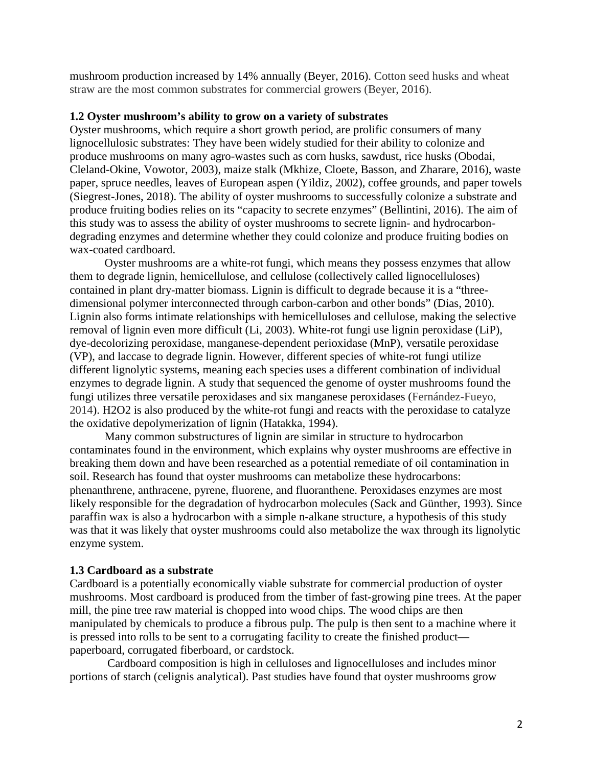mushroom production increased by 14% annually (Beyer, 2016). Cotton seed husks and wheat straw are the most common substrates for commercial growers (Beyer, 2016).

#### **1.2 Oyster mushroom's ability to grow on a variety of substrates**

Oyster mushrooms, which require a short growth period, are prolific consumers of many lignocellulosic substrates: They have been widely studied for their ability to colonize and produce mushrooms on many agro-wastes such as corn husks, sawdust, rice husks (Obodai, Cleland-Okine, Vowotor, 2003), maize stalk (Mkhize, Cloete, Basson, and Zharare, 2016), waste paper, spruce needles, leaves of European aspen (Yildiz, 2002), coffee grounds, and paper towels (Siegrest-Jones, 2018). The ability of oyster mushrooms to successfully colonize a substrate and produce fruiting bodies relies on its "capacity to secrete enzymes" (Bellintini, 2016). The aim of this study was to assess the ability of oyster mushrooms to secrete lignin- and hydrocarbondegrading enzymes and determine whether they could colonize and produce fruiting bodies on wax-coated cardboard.

Oyster mushrooms are a white-rot fungi, which means they possess enzymes that allow them to degrade lignin, hemicellulose, and cellulose (collectively called lignocelluloses) contained in plant dry-matter biomass. Lignin is difficult to degrade because it is a "threedimensional polymer interconnected through carbon-carbon and other bonds" (Dias, 2010). Lignin also forms intimate relationships with hemicelluloses and cellulose, making the selective removal of lignin even more difficult (Li, 2003). White-rot fungi use lignin peroxidase (LiP), dye-decolorizing peroxidase, manganese-dependent perioxidase (MnP), versatile peroxidase (VP), and laccase to degrade lignin. However, different species of white-rot fungi utilize different lignolytic systems, meaning each species uses a different combination of individual enzymes to degrade lignin. A study that sequenced the genome of oyster mushrooms found the fungi utilizes three versatile peroxidases and six manganese peroxidases (Fernández-Fueyo, 2014). H2O2 is also produced by the white-rot fungi and reacts with the peroxidase to catalyze the oxidative depolymerization of lignin (Hatakka, 1994).

Many common substructures of lignin are similar in structure to hydrocarbon contaminates found in the environment, which explains why oyster mushrooms are effective in breaking them down and have been researched as a potential remediate of oil contamination in soil. Research has found that oyster mushrooms can metabolize these hydrocarbons: phenanthrene, anthracene, pyrene, fluorene, and fluoranthene. Peroxidases enzymes are most likely responsible for the degradation of hydrocarbon molecules (Sack and Günther, 1993). Since paraffin wax is also a hydrocarbon with a simple n-alkane structure, a hypothesis of this study was that it was likely that oyster mushrooms could also metabolize the wax through its lignolytic enzyme system.

### **1.3 Cardboard as a substrate**

Cardboard is a potentially economically viable substrate for commercial production of oyster mushrooms. Most cardboard is produced from the timber of fast-growing pine trees. At the paper mill, the pine tree raw material is chopped into wood chips. The wood chips are then manipulated by chemicals to produce a fibrous pulp. The pulp is then sent to a machine where it is pressed into rolls to be sent to a corrugating facility to create the finished product paperboard, corrugated fiberboard, or cardstock.

Cardboard composition is high in celluloses and lignocelluloses and includes minor portions of starch (celignis analytical). Past studies have found that oyster mushrooms grow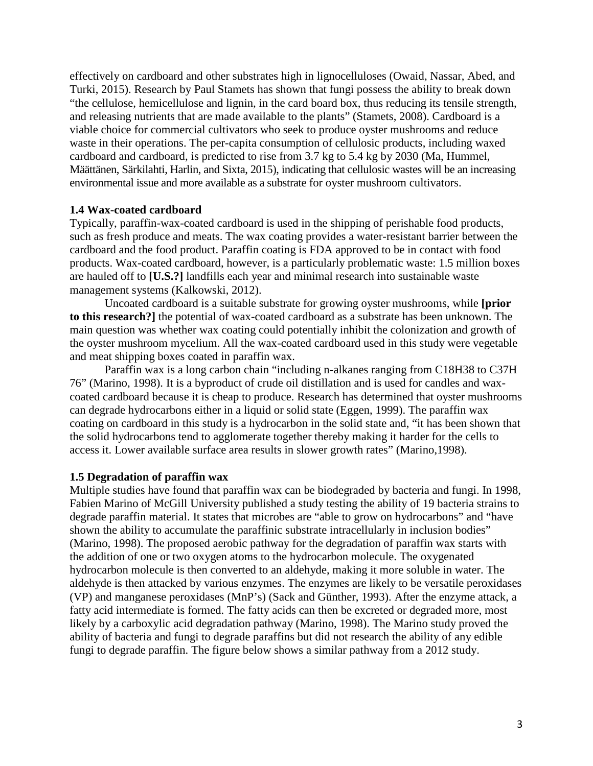effectively on cardboard and other substrates high in lignocelluloses (Owaid, Nassar, Abed, and Turki, 2015). Research by Paul Stamets has shown that fungi possess the ability to break down "the cellulose, hemicellulose and lignin, in the card board box, thus reducing its tensile strength, and releasing nutrients that are made available to the plants" (Stamets, 2008). Cardboard is a viable choice for commercial cultivators who seek to produce oyster mushrooms and reduce waste in their operations. The per-capita consumption of cellulosic products, including waxed cardboard and cardboard, is predicted to rise from 3.7 kg to 5.4 kg by 2030 (Ma, Hummel, Määttänen, Särkilahti, Harlin, and Sixta, 2015), indicating that cellulosic wastes will be an increasing environmental issue and more available as a substrate for oyster mushroom cultivators.

### **1.4 Wax-coated cardboard**

Typically, paraffin-wax-coated cardboard is used in the shipping of perishable food products, such as fresh produce and meats. The wax coating provides a water-resistant barrier between the cardboard and the food product. Paraffin coating is FDA approved to be in contact with food products. Wax-coated cardboard, however, is a particularly problematic waste: 1.5 million boxes are hauled off to **[U.S.?]** landfills each year and minimal research into sustainable waste management systems (Kalkowski, 2012).

Uncoated cardboard is a suitable substrate for growing oyster mushrooms, while **[prior to this research?]** the potential of wax-coated cardboard as a substrate has been unknown. The main question was whether wax coating could potentially inhibit the colonization and growth of the oyster mushroom mycelium. All the wax-coated cardboard used in this study were vegetable and meat shipping boxes coated in paraffin wax.

Paraffin wax is a long carbon chain "including n-alkanes ranging from C18H38 to C37H 76" (Marino, 1998). It is a byproduct of crude oil distillation and is used for candles and waxcoated cardboard because it is cheap to produce. Research has determined that oyster mushrooms can degrade hydrocarbons either in a liquid or solid state (Eggen, 1999). The paraffin wax coating on cardboard in this study is a hydrocarbon in the solid state and, "it has been shown that the solid hydrocarbons tend to agglomerate together thereby making it harder for the cells to access it. Lower available surface area results in slower growth rates" (Marino,1998).

### **1.5 Degradation of paraffin wax**

Multiple studies have found that paraffin wax can be biodegraded by bacteria and fungi. In 1998, Fabien Marino of McGill University published a study testing the ability of 19 bacteria strains to degrade paraffin material. It states that microbes are "able to grow on hydrocarbons" and "have shown the ability to accumulate the paraffinic substrate intracellularly in inclusion bodies" (Marino, 1998). The proposed aerobic pathway for the degradation of paraffin wax starts with the addition of one or two oxygen atoms to the hydrocarbon molecule. The oxygenated hydrocarbon molecule is then converted to an aldehyde, making it more soluble in water. The aldehyde is then attacked by various enzymes. The enzymes are likely to be versatile peroxidases (VP) and manganese peroxidases (MnP's) (Sack and Günther, 1993). After the enzyme attack, a fatty acid intermediate is formed. The fatty acids can then be excreted or degraded more, most likely by a carboxylic acid degradation pathway (Marino, 1998). The Marino study proved the ability of bacteria and fungi to degrade paraffins but did not research the ability of any edible fungi to degrade paraffin. The figure below shows a similar pathway from a 2012 study.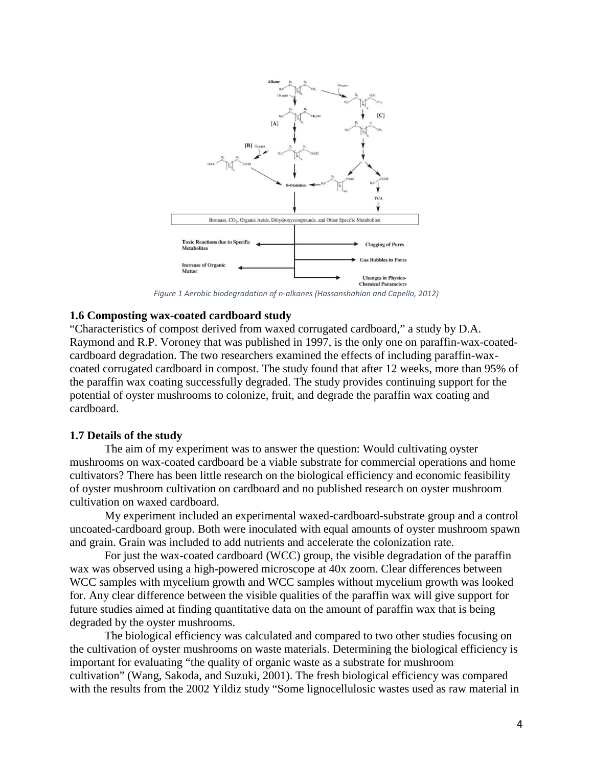

*Figure 1 Aerobic biodegradation of n-alkanes (Hassanshahian and Capello, 2012)*

#### **1.6 Composting wax-coated cardboard study**

"Characteristics of compost derived from waxed corrugated cardboard," a study by D.A. Raymond and R.P. Voroney that was published in 1997, is the only one on paraffin-wax-coatedcardboard degradation. The two researchers examined the effects of including paraffin-waxcoated corrugated cardboard in compost. The study found that after 12 weeks, more than 95% of the paraffin wax coating successfully degraded. The study provides continuing support for the potential of oyster mushrooms to colonize, fruit, and degrade the paraffin wax coating and cardboard.

#### **1.7 Details of the study**

The aim of my experiment was to answer the question: Would cultivating oyster mushrooms on wax-coated cardboard be a viable substrate for commercial operations and home cultivators? There has been little research on the biological efficiency and economic feasibility of oyster mushroom cultivation on cardboard and no published research on oyster mushroom cultivation on waxed cardboard.

My experiment included an experimental waxed-cardboard-substrate group and a control uncoated-cardboard group. Both were inoculated with equal amounts of oyster mushroom spawn and grain. Grain was included to add nutrients and accelerate the colonization rate.

For just the wax-coated cardboard (WCC) group, the visible degradation of the paraffin wax was observed using a high-powered microscope at 40x zoom. Clear differences between WCC samples with mycelium growth and WCC samples without mycelium growth was looked for. Any clear difference between the visible qualities of the paraffin wax will give support for future studies aimed at finding quantitative data on the amount of paraffin wax that is being degraded by the oyster mushrooms.

The biological efficiency was calculated and compared to two other studies focusing on the cultivation of oyster mushrooms on waste materials. Determining the biological efficiency is important for evaluating "the quality of organic waste as a substrate for mushroom cultivation" (Wang, Sakoda, and Suzuki, 2001). The fresh biological efficiency was compared with the results from the 2002 Yildiz study "Some lignocellulosic wastes used as raw material in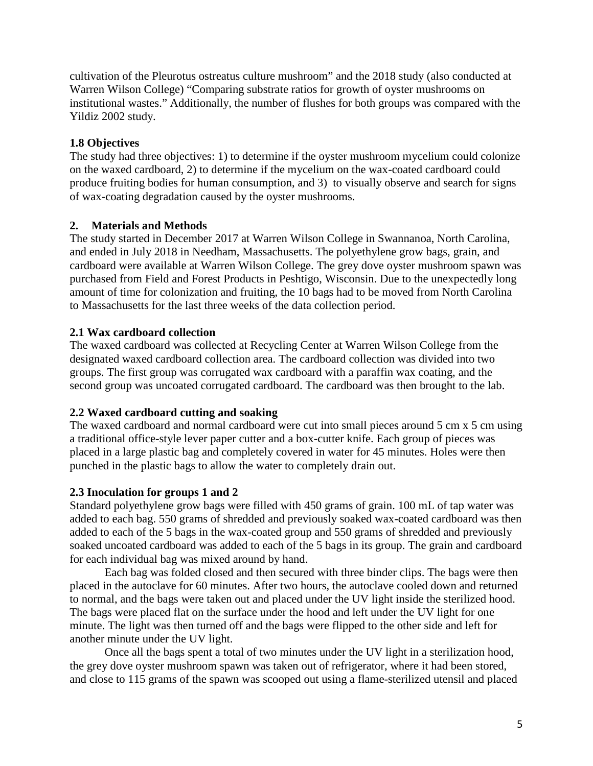cultivation of the Pleurotus ostreatus culture mushroom" and the 2018 study (also conducted at Warren Wilson College) "Comparing substrate ratios for growth of oyster mushrooms on institutional wastes." Additionally, the number of flushes for both groups was compared with the Yildiz 2002 study.

# **1.8 Objectives**

The study had three objectives: 1) to determine if the oyster mushroom mycelium could colonize on the waxed cardboard, 2) to determine if the mycelium on the wax-coated cardboard could produce fruiting bodies for human consumption, and 3) to visually observe and search for signs of wax-coating degradation caused by the oyster mushrooms.

### **2. Materials and Methods**

The study started in December 2017 at Warren Wilson College in Swannanoa, North Carolina, and ended in July 2018 in Needham, Massachusetts. The polyethylene grow bags, grain, and cardboard were available at Warren Wilson College. The grey dove oyster mushroom spawn was purchased from Field and Forest Products in Peshtigo, Wisconsin. Due to the unexpectedly long amount of time for colonization and fruiting, the 10 bags had to be moved from North Carolina to Massachusetts for the last three weeks of the data collection period.

# **2.1 Wax cardboard collection**

The waxed cardboard was collected at Recycling Center at Warren Wilson College from the designated waxed cardboard collection area. The cardboard collection was divided into two groups. The first group was corrugated wax cardboard with a paraffin wax coating, and the second group was uncoated corrugated cardboard. The cardboard was then brought to the lab.

### **2.2 Waxed cardboard cutting and soaking**

The waxed cardboard and normal cardboard were cut into small pieces around 5 cm x 5 cm using a traditional office-style lever paper cutter and a box-cutter knife. Each group of pieces was placed in a large plastic bag and completely covered in water for 45 minutes. Holes were then punched in the plastic bags to allow the water to completely drain out.

# **2.3 Inoculation for groups 1 and 2**

Standard polyethylene grow bags were filled with 450 grams of grain. 100 mL of tap water was added to each bag. 550 grams of shredded and previously soaked wax-coated cardboard was then added to each of the 5 bags in the wax-coated group and 550 grams of shredded and previously soaked uncoated cardboard was added to each of the 5 bags in its group. The grain and cardboard for each individual bag was mixed around by hand.

Each bag was folded closed and then secured with three binder clips. The bags were then placed in the autoclave for 60 minutes. After two hours, the autoclave cooled down and returned to normal, and the bags were taken out and placed under the UV light inside the sterilized hood. The bags were placed flat on the surface under the hood and left under the UV light for one minute. The light was then turned off and the bags were flipped to the other side and left for another minute under the UV light.

Once all the bags spent a total of two minutes under the UV light in a sterilization hood, the grey dove oyster mushroom spawn was taken out of refrigerator, where it had been stored, and close to 115 grams of the spawn was scooped out using a flame-sterilized utensil and placed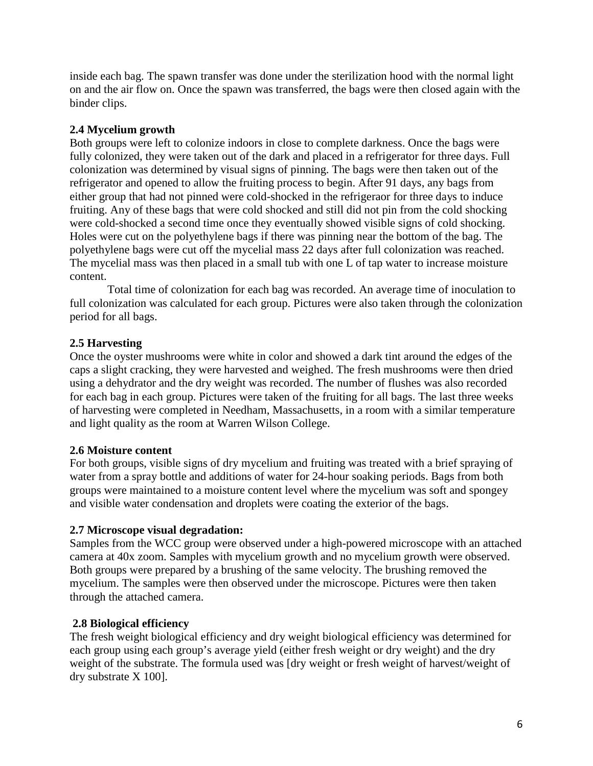inside each bag. The spawn transfer was done under the sterilization hood with the normal light on and the air flow on. Once the spawn was transferred, the bags were then closed again with the binder clips.

# **2.4 Mycelium growth**

Both groups were left to colonize indoors in close to complete darkness. Once the bags were fully colonized, they were taken out of the dark and placed in a refrigerator for three days. Full colonization was determined by visual signs of pinning. The bags were then taken out of the refrigerator and opened to allow the fruiting process to begin. After 91 days, any bags from either group that had not pinned were cold-shocked in the refrigeraor for three days to induce fruiting. Any of these bags that were cold shocked and still did not pin from the cold shocking were cold-shocked a second time once they eventually showed visible signs of cold shocking. Holes were cut on the polyethylene bags if there was pinning near the bottom of the bag. The polyethylene bags were cut off the mycelial mass 22 days after full colonization was reached. The mycelial mass was then placed in a small tub with one L of tap water to increase moisture content.

Total time of colonization for each bag was recorded. An average time of inoculation to full colonization was calculated for each group. Pictures were also taken through the colonization period for all bags.

# **2.5 Harvesting**

Once the oyster mushrooms were white in color and showed a dark tint around the edges of the caps a slight cracking, they were harvested and weighed. The fresh mushrooms were then dried using a dehydrator and the dry weight was recorded. The number of flushes was also recorded for each bag in each group. Pictures were taken of the fruiting for all bags. The last three weeks of harvesting were completed in Needham, Massachusetts, in a room with a similar temperature and light quality as the room at Warren Wilson College.

### **2.6 Moisture content**

For both groups, visible signs of dry mycelium and fruiting was treated with a brief spraying of water from a spray bottle and additions of water for 24-hour soaking periods. Bags from both groups were maintained to a moisture content level where the mycelium was soft and spongey and visible water condensation and droplets were coating the exterior of the bags.

### **2.7 Microscope visual degradation:**

Samples from the WCC group were observed under a high-powered microscope with an attached camera at 40x zoom. Samples with mycelium growth and no mycelium growth were observed. Both groups were prepared by a brushing of the same velocity. The brushing removed the mycelium. The samples were then observed under the microscope. Pictures were then taken through the attached camera.

### **2.8 Biological efficiency**

The fresh weight biological efficiency and dry weight biological efficiency was determined for each group using each group's average yield (either fresh weight or dry weight) and the dry weight of the substrate. The formula used was [dry weight or fresh weight of harvest/weight of dry substrate X 100].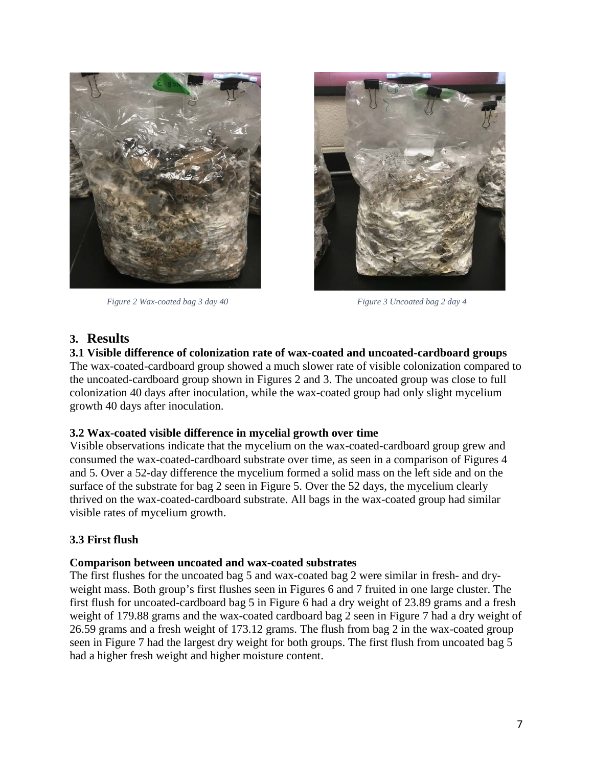

 *Figure 2 Wax-coated bag 3 day 40 Figure 3 Uncoated bag 2 day 4* 



### **3. Results**

**3.1 Visible difference of colonization rate of wax-coated and uncoated-cardboard groups** The wax-coated-cardboard group showed a much slower rate of visible colonization compared to the uncoated-cardboard group shown in Figures 2 and 3. The uncoated group was close to full colonization 40 days after inoculation, while the wax-coated group had only slight mycelium growth 40 days after inoculation.

### **3.2 Wax-coated visible difference in mycelial growth over time**

Visible observations indicate that the mycelium on the wax-coated-cardboard group grew and consumed the wax-coated-cardboard substrate over time, as seen in a comparison of Figures 4 and 5. Over a 52-day difference the mycelium formed a solid mass on the left side and on the surface of the substrate for bag 2 seen in Figure 5. Over the 52 days, the mycelium clearly thrived on the wax-coated-cardboard substrate. All bags in the wax-coated group had similar visible rates of mycelium growth.

### **3.3 First flush**

#### **Comparison between uncoated and wax-coated substrates**

The first flushes for the uncoated bag 5 and wax-coated bag 2 were similar in fresh- and dryweight mass. Both group's first flushes seen in Figures 6 and 7 fruited in one large cluster. The first flush for uncoated-cardboard bag 5 in Figure 6 had a dry weight of 23.89 grams and a fresh weight of 179.88 grams and the wax-coated cardboard bag 2 seen in Figure 7 had a dry weight of 26.59 grams and a fresh weight of 173.12 grams. The flush from bag 2 in the wax-coated group seen in Figure 7 had the largest dry weight for both groups. The first flush from uncoated bag 5 had a higher fresh weight and higher moisture content.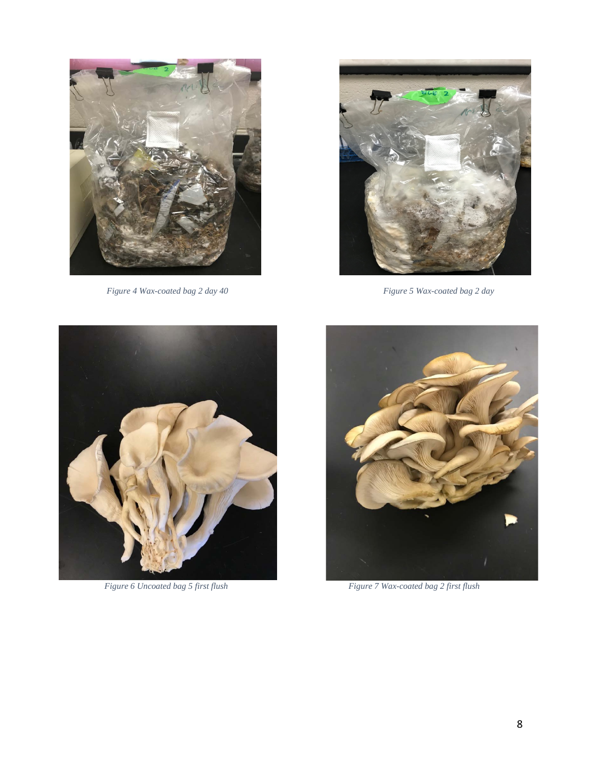

*Figure 4 Wax-coated bag 2 day 40 Figure 5 Wax-coated bag 2 day* 







*Figure 6 Uncoated bag 5 first flush Figure 7 Wax-coated bag 2 first flush*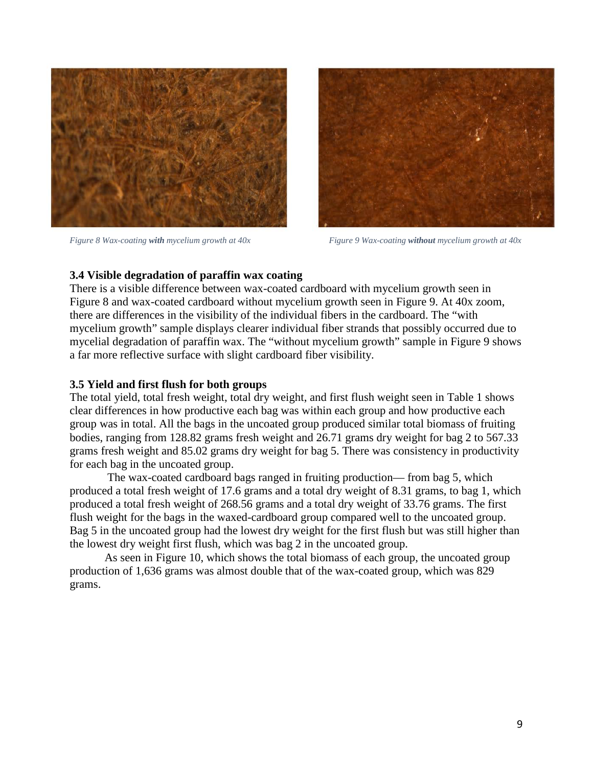



*Figure 8 Wax-coating with mycelium growth at 40x Figure 9 Wax-coating without mycelium growth at 40x* 

#### **3.4 Visible degradation of paraffin wax coating**

There is a visible difference between wax-coated cardboard with mycelium growth seen in Figure 8 and wax-coated cardboard without mycelium growth seen in Figure 9. At 40x zoom, there are differences in the visibility of the individual fibers in the cardboard. The "with mycelium growth" sample displays clearer individual fiber strands that possibly occurred due to mycelial degradation of paraffin wax. The "without mycelium growth" sample in Figure 9 shows a far more reflective surface with slight cardboard fiber visibility.

#### **3.5 Yield and first flush for both groups**

The total yield, total fresh weight, total dry weight, and first flush weight seen in Table 1 shows clear differences in how productive each bag was within each group and how productive each group was in total. All the bags in the uncoated group produced similar total biomass of fruiting bodies, ranging from 128.82 grams fresh weight and 26.71 grams dry weight for bag 2 to 567.33 grams fresh weight and 85.02 grams dry weight for bag 5. There was consistency in productivity for each bag in the uncoated group.

The wax-coated cardboard bags ranged in fruiting production— from bag 5, which produced a total fresh weight of 17.6 grams and a total dry weight of 8.31 grams, to bag 1, which produced a total fresh weight of 268.56 grams and a total dry weight of 33.76 grams. The first flush weight for the bags in the waxed-cardboard group compared well to the uncoated group. Bag 5 in the uncoated group had the lowest dry weight for the first flush but was still higher than the lowest dry weight first flush, which was bag 2 in the uncoated group.

As seen in Figure 10, which shows the total biomass of each group, the uncoated group production of 1,636 grams was almost double that of the wax-coated group, which was 829 grams.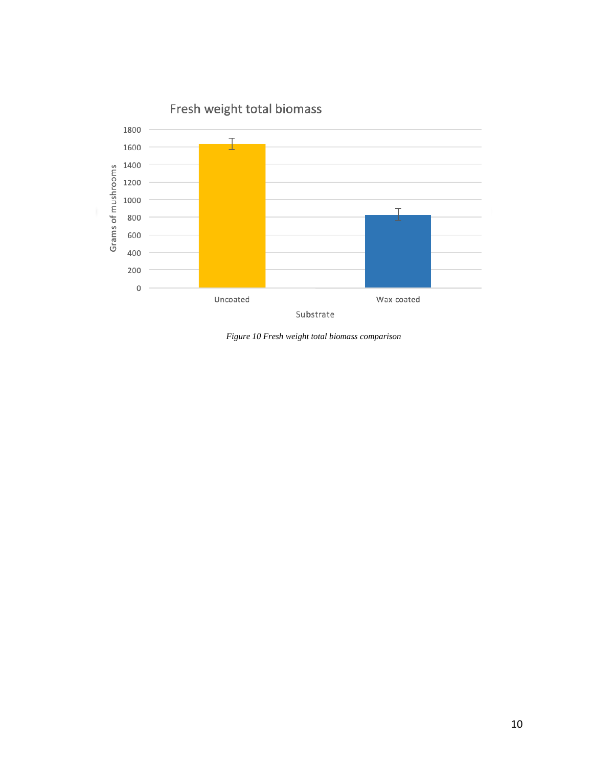

*Figure 10 Fresh weight total biomass comparison*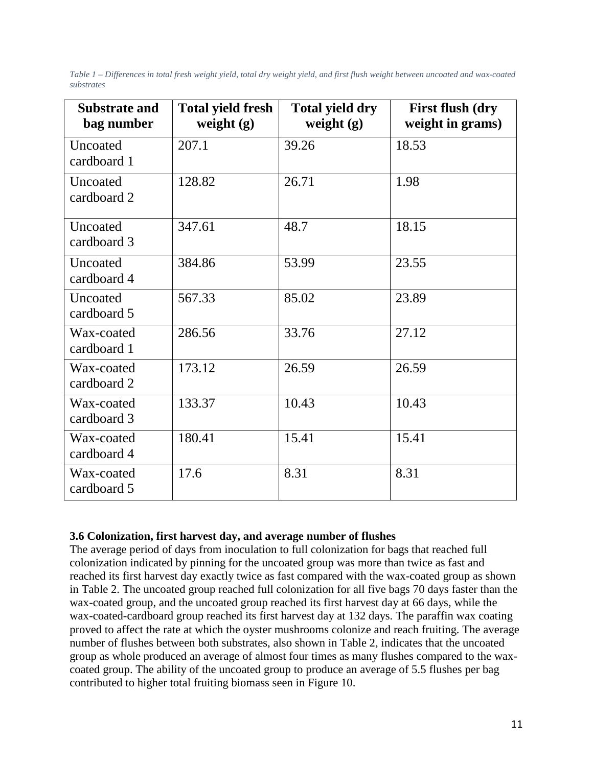*Table 1 – Differences in total fresh weight yield, total dry weight yield, and first flush weight between uncoated and wax-coated substrates*

| <b>Substrate and</b><br>bag number | <b>Total yield fresh</b><br>weight $(g)$ | <b>Total yield dry</b><br>weight $(g)$ | <b>First flush (dry</b><br>weight in grams) |
|------------------------------------|------------------------------------------|----------------------------------------|---------------------------------------------|
| Uncoated<br>cardboard 1            | 207.1                                    | 39.26                                  | 18.53                                       |
| Uncoated<br>cardboard 2            | 128.82                                   | 26.71                                  | 1.98                                        |
| Uncoated<br>cardboard 3            | 347.61                                   | 48.7                                   | 18.15                                       |
| Uncoated<br>cardboard 4            | 384.86                                   | 53.99                                  | 23.55                                       |
| Uncoated<br>cardboard 5            | 567.33                                   | 85.02                                  | 23.89                                       |
| Wax-coated<br>cardboard 1          | 286.56                                   | 33.76                                  | 27.12                                       |
| Wax-coated<br>cardboard 2          | 173.12                                   | 26.59                                  | 26.59                                       |
| Wax-coated<br>cardboard 3          | 133.37                                   | 10.43                                  | 10.43                                       |
| Wax-coated<br>cardboard 4          | 180.41                                   | 15.41                                  | 15.41                                       |
| Wax-coated<br>cardboard 5          | 17.6                                     | 8.31                                   | 8.31                                        |

### **3.6 Colonization, first harvest day, and average number of flushes**

The average period of days from inoculation to full colonization for bags that reached full colonization indicated by pinning for the uncoated group was more than twice as fast and reached its first harvest day exactly twice as fast compared with the wax-coated group as shown in Table 2. The uncoated group reached full colonization for all five bags 70 days faster than the wax-coated group, and the uncoated group reached its first harvest day at 66 days, while the wax-coated-cardboard group reached its first harvest day at 132 days. The paraffin wax coating proved to affect the rate at which the oyster mushrooms colonize and reach fruiting. The average number of flushes between both substrates, also shown in Table 2, indicates that the uncoated group as whole produced an average of almost four times as many flushes compared to the waxcoated group. The ability of the uncoated group to produce an average of 5.5 flushes per bag contributed to higher total fruiting biomass seen in Figure 10.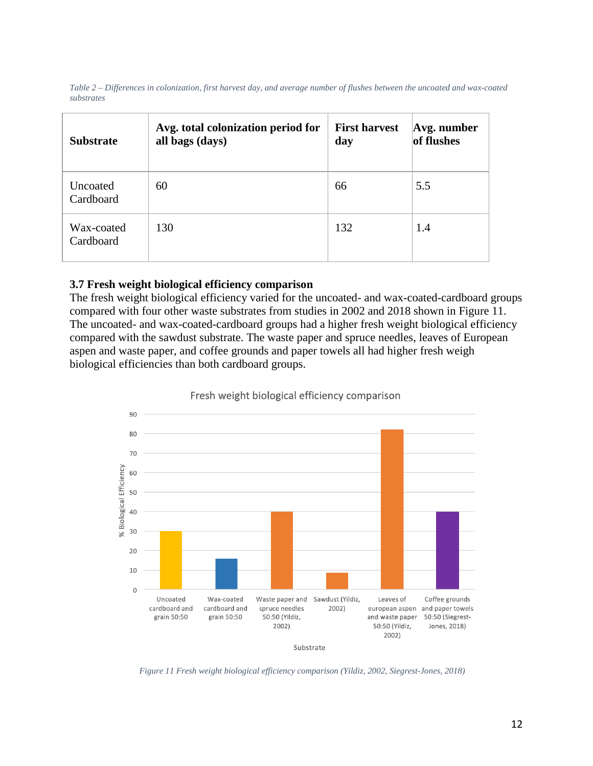| Table 2 – Differences in colonization, first harvest day, and average number of flushes between the uncoated and wax-coated |  |
|-----------------------------------------------------------------------------------------------------------------------------|--|
| substrates                                                                                                                  |  |

| <b>Substrate</b>        | Avg. total colonization period for<br>all bags (days) | <b>First harvest</b><br>day | Avg. number<br>of flushes |
|-------------------------|-------------------------------------------------------|-----------------------------|---------------------------|
| Uncoated<br>Cardboard   | 60                                                    | 66                          | 5.5                       |
| Wax-coated<br>Cardboard | 130                                                   | 132                         | 1.4                       |

### **3.7 Fresh weight biological efficiency comparison**

The fresh weight biological efficiency varied for the uncoated- and wax-coated-cardboard groups compared with four other waste substrates from studies in 2002 and 2018 shown in Figure 11. The uncoated- and wax-coated-cardboard groups had a higher fresh weight biological efficiency compared with the sawdust substrate. The waste paper and spruce needles, leaves of European aspen and waste paper, and coffee grounds and paper towels all had higher fresh weigh biological efficiencies than both cardboard groups.



Fresh weight biological efficiency comparison

*Figure 11 Fresh weight biological efficiency comparison (Yildiz, 2002, Siegrest-Jones, 2018)*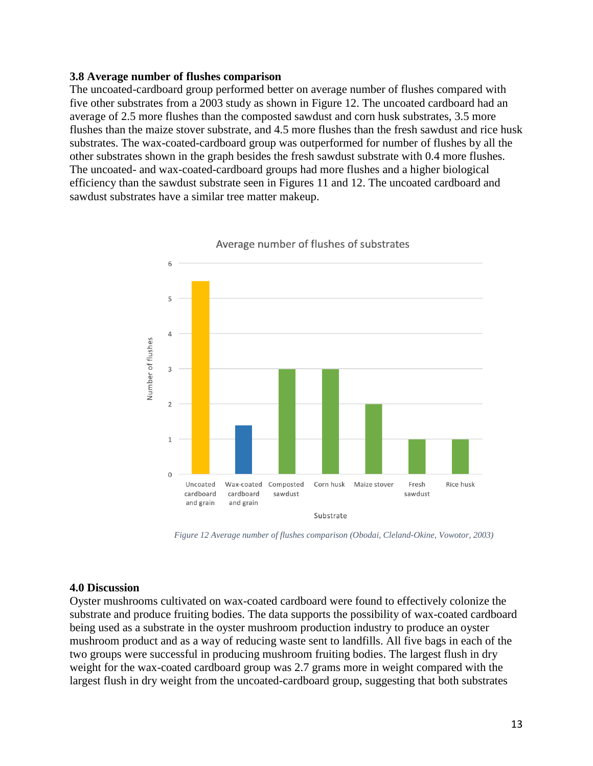#### **3.8 Average number of flushes comparison**

The uncoated-cardboard group performed better on average number of flushes compared with five other substrates from a 2003 study as shown in Figure 12. The uncoated cardboard had an average of 2.5 more flushes than the composted sawdust and corn husk substrates, 3.5 more flushes than the maize stover substrate, and 4.5 more flushes than the fresh sawdust and rice husk substrates. The wax-coated-cardboard group was outperformed for number of flushes by all the other substrates shown in the graph besides the fresh sawdust substrate with 0.4 more flushes. The uncoated- and wax-coated-cardboard groups had more flushes and a higher biological efficiency than the sawdust substrate seen in Figures 11 and 12. The uncoated cardboard and sawdust substrates have a similar tree matter makeup.



Average number of flushes of substrates

*Figure 12 Average number of flushes comparison (Obodai, Cleland-Okine, Vowotor, 2003)*

#### **4.0 Discussion**

Oyster mushrooms cultivated on wax-coated cardboard were found to effectively colonize the substrate and produce fruiting bodies. The data supports the possibility of wax-coated cardboard being used as a substrate in the oyster mushroom production industry to produce an oyster mushroom product and as a way of reducing waste sent to landfills. All five bags in each of the two groups were successful in producing mushroom fruiting bodies. The largest flush in dry weight for the wax-coated cardboard group was 2.7 grams more in weight compared with the largest flush in dry weight from the uncoated-cardboard group, suggesting that both substrates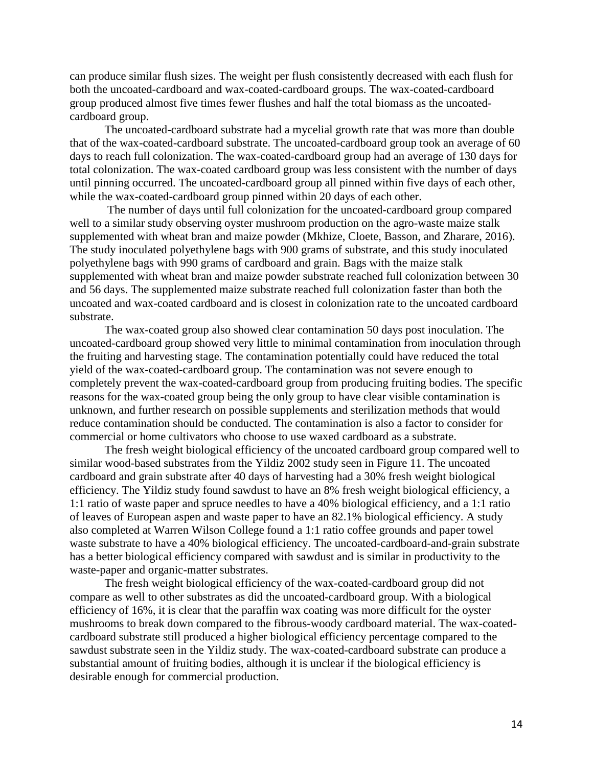can produce similar flush sizes. The weight per flush consistently decreased with each flush for both the uncoated-cardboard and wax-coated-cardboard groups. The wax-coated-cardboard group produced almost five times fewer flushes and half the total biomass as the uncoatedcardboard group.

The uncoated-cardboard substrate had a mycelial growth rate that was more than double that of the wax-coated-cardboard substrate. The uncoated-cardboard group took an average of 60 days to reach full colonization. The wax-coated-cardboard group had an average of 130 days for total colonization. The wax-coated cardboard group was less consistent with the number of days until pinning occurred. The uncoated-cardboard group all pinned within five days of each other, while the wax-coated-cardboard group pinned within 20 days of each other.

The number of days until full colonization for the uncoated-cardboard group compared well to a similar study observing oyster mushroom production on the agro-waste maize stalk supplemented with wheat bran and maize powder (Mkhize, Cloete, Basson, and Zharare, 2016). The study inoculated polyethylene bags with 900 grams of substrate, and this study inoculated polyethylene bags with 990 grams of cardboard and grain. Bags with the maize stalk supplemented with wheat bran and maize powder substrate reached full colonization between 30 and 56 days. The supplemented maize substrate reached full colonization faster than both the uncoated and wax-coated cardboard and is closest in colonization rate to the uncoated cardboard substrate.

The wax-coated group also showed clear contamination 50 days post inoculation. The uncoated-cardboard group showed very little to minimal contamination from inoculation through the fruiting and harvesting stage. The contamination potentially could have reduced the total yield of the wax-coated-cardboard group. The contamination was not severe enough to completely prevent the wax-coated-cardboard group from producing fruiting bodies. The specific reasons for the wax-coated group being the only group to have clear visible contamination is unknown, and further research on possible supplements and sterilization methods that would reduce contamination should be conducted. The contamination is also a factor to consider for commercial or home cultivators who choose to use waxed cardboard as a substrate.

The fresh weight biological efficiency of the uncoated cardboard group compared well to similar wood-based substrates from the Yildiz 2002 study seen in Figure 11. The uncoated cardboard and grain substrate after 40 days of harvesting had a 30% fresh weight biological efficiency. The Yildiz study found sawdust to have an 8% fresh weight biological efficiency, a 1:1 ratio of waste paper and spruce needles to have a 40% biological efficiency, and a 1:1 ratio of leaves of European aspen and waste paper to have an 82.1% biological efficiency. A study also completed at Warren Wilson College found a 1:1 ratio coffee grounds and paper towel waste substrate to have a 40% biological efficiency. The uncoated-cardboard-and-grain substrate has a better biological efficiency compared with sawdust and is similar in productivity to the waste-paper and organic-matter substrates.

The fresh weight biological efficiency of the wax-coated-cardboard group did not compare as well to other substrates as did the uncoated-cardboard group. With a biological efficiency of 16%, it is clear that the paraffin wax coating was more difficult for the oyster mushrooms to break down compared to the fibrous-woody cardboard material. The wax-coatedcardboard substrate still produced a higher biological efficiency percentage compared to the sawdust substrate seen in the Yildiz study. The wax-coated-cardboard substrate can produce a substantial amount of fruiting bodies, although it is unclear if the biological efficiency is desirable enough for commercial production.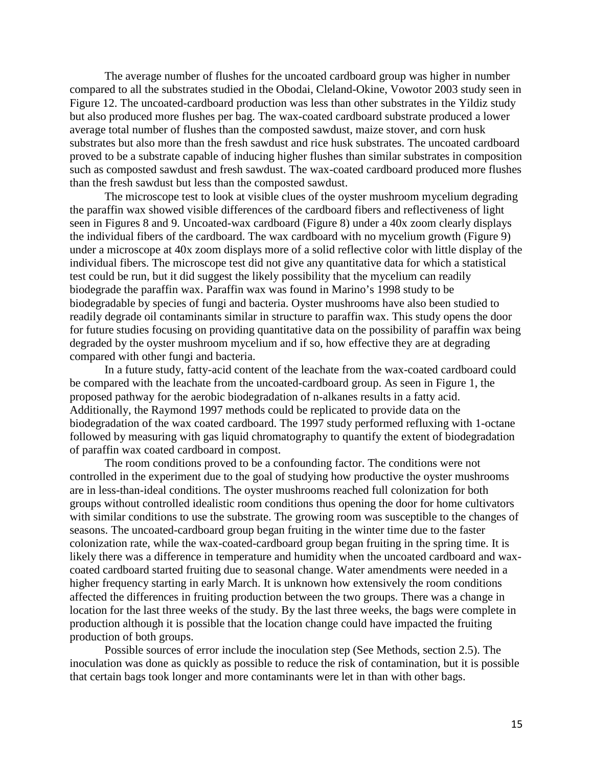The average number of flushes for the uncoated cardboard group was higher in number compared to all the substrates studied in the Obodai, Cleland-Okine, Vowotor 2003 study seen in Figure 12. The uncoated-cardboard production was less than other substrates in the Yildiz study but also produced more flushes per bag. The wax-coated cardboard substrate produced a lower average total number of flushes than the composted sawdust, maize stover, and corn husk substrates but also more than the fresh sawdust and rice husk substrates. The uncoated cardboard proved to be a substrate capable of inducing higher flushes than similar substrates in composition such as composted sawdust and fresh sawdust. The wax-coated cardboard produced more flushes than the fresh sawdust but less than the composted sawdust.

The microscope test to look at visible clues of the oyster mushroom mycelium degrading the paraffin wax showed visible differences of the cardboard fibers and reflectiveness of light seen in Figures 8 and 9. Uncoated-wax cardboard (Figure 8) under a 40x zoom clearly displays the individual fibers of the cardboard. The wax cardboard with no mycelium growth (Figure 9) under a microscope at 40x zoom displays more of a solid reflective color with little display of the individual fibers. The microscope test did not give any quantitative data for which a statistical test could be run, but it did suggest the likely possibility that the mycelium can readily biodegrade the paraffin wax. Paraffin wax was found in Marino's 1998 study to be biodegradable by species of fungi and bacteria. Oyster mushrooms have also been studied to readily degrade oil contaminants similar in structure to paraffin wax. This study opens the door for future studies focusing on providing quantitative data on the possibility of paraffin wax being degraded by the oyster mushroom mycelium and if so, how effective they are at degrading compared with other fungi and bacteria.

In a future study, fatty-acid content of the leachate from the wax-coated cardboard could be compared with the leachate from the uncoated-cardboard group. As seen in Figure 1, the proposed pathway for the aerobic biodegradation of n-alkanes results in a fatty acid. Additionally, the Raymond 1997 methods could be replicated to provide data on the biodegradation of the wax coated cardboard. The 1997 study performed refluxing with 1-octane followed by measuring with gas liquid chromatography to quantify the extent of biodegradation of paraffin wax coated cardboard in compost.

The room conditions proved to be a confounding factor. The conditions were not controlled in the experiment due to the goal of studying how productive the oyster mushrooms are in less-than-ideal conditions. The oyster mushrooms reached full colonization for both groups without controlled idealistic room conditions thus opening the door for home cultivators with similar conditions to use the substrate. The growing room was susceptible to the changes of seasons. The uncoated-cardboard group began fruiting in the winter time due to the faster colonization rate, while the wax-coated-cardboard group began fruiting in the spring time. It is likely there was a difference in temperature and humidity when the uncoated cardboard and waxcoated cardboard started fruiting due to seasonal change. Water amendments were needed in a higher frequency starting in early March. It is unknown how extensively the room conditions affected the differences in fruiting production between the two groups. There was a change in location for the last three weeks of the study. By the last three weeks, the bags were complete in production although it is possible that the location change could have impacted the fruiting production of both groups.

Possible sources of error include the inoculation step (See Methods, section 2.5). The inoculation was done as quickly as possible to reduce the risk of contamination, but it is possible that certain bags took longer and more contaminants were let in than with other bags.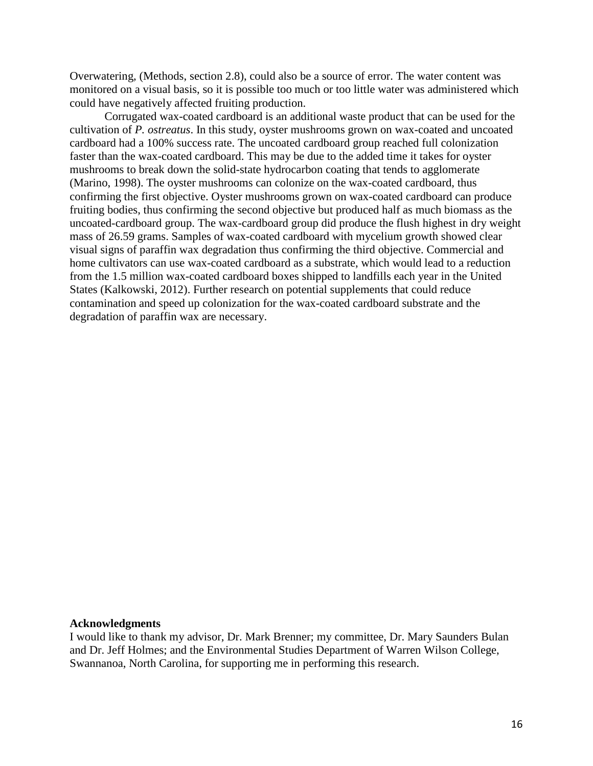Overwatering, (Methods, section 2.8), could also be a source of error. The water content was monitored on a visual basis, so it is possible too much or too little water was administered which could have negatively affected fruiting production.

Corrugated wax-coated cardboard is an additional waste product that can be used for the cultivation of *P. ostreatus*. In this study, oyster mushrooms grown on wax-coated and uncoated cardboard had a 100% success rate. The uncoated cardboard group reached full colonization faster than the wax-coated cardboard. This may be due to the added time it takes for oyster mushrooms to break down the solid-state hydrocarbon coating that tends to agglomerate (Marino, 1998). The oyster mushrooms can colonize on the wax-coated cardboard, thus confirming the first objective. Oyster mushrooms grown on wax-coated cardboard can produce fruiting bodies, thus confirming the second objective but produced half as much biomass as the uncoated-cardboard group. The wax-cardboard group did produce the flush highest in dry weight mass of 26.59 grams. Samples of wax-coated cardboard with mycelium growth showed clear visual signs of paraffin wax degradation thus confirming the third objective. Commercial and home cultivators can use wax-coated cardboard as a substrate, which would lead to a reduction from the 1.5 million wax-coated cardboard boxes shipped to landfills each year in the United States (Kalkowski, 2012). Further research on potential supplements that could reduce contamination and speed up colonization for the wax-coated cardboard substrate and the degradation of paraffin wax are necessary.

#### **Acknowledgments**

I would like to thank my advisor, Dr. Mark Brenner; my committee, Dr. Mary Saunders Bulan and Dr. Jeff Holmes; and the Environmental Studies Department of Warren Wilson College, Swannanoa, North Carolina, for supporting me in performing this research.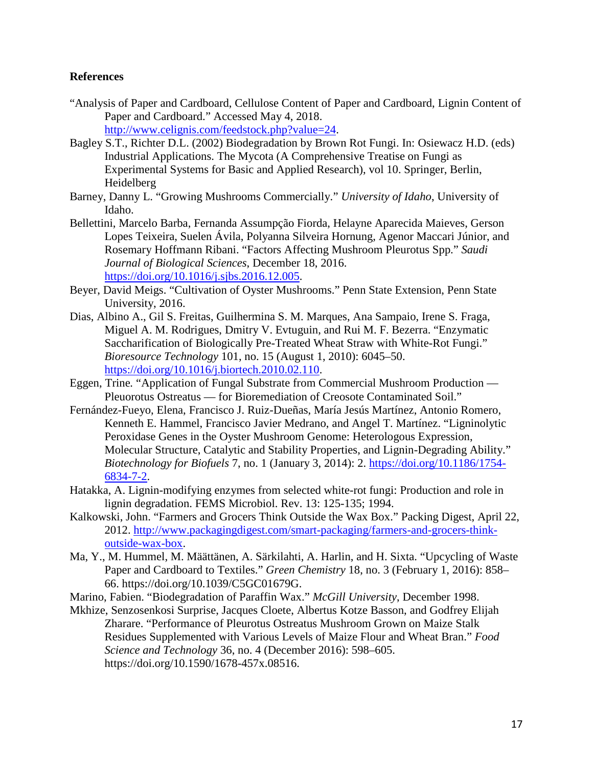### **References**

- "Analysis of Paper and Cardboard, Cellulose Content of Paper and Cardboard, Lignin Content of Paper and Cardboard." Accessed May 4, 2018. [http://www.celignis.com/feedstock.php?value=24.](http://www.celignis.com/feedstock.php?value=24)
- Bagley S.T., Richter D.L. (2002) Biodegradation by Brown Rot Fungi. In: Osiewacz H.D. (eds) Industrial Applications. The Mycota (A Comprehensive Treatise on Fungi as Experimental Systems for Basic and Applied Research), vol 10. Springer, Berlin, Heidelberg
- Barney, Danny L. "Growing Mushrooms Commercially." *University of Idaho*, University of Idaho.
- Bellettini, Marcelo Barba, Fernanda Assumpção Fiorda, Helayne Aparecida Maieves, Gerson Lopes Teixeira, Suelen Ávila, Polyanna Silveira Hornung, Agenor Maccari Júnior, and Rosemary Hoffmann Ribani. "Factors Affecting Mushroom Pleurotus Spp." *Saudi Journal of Biological Sciences*, December 18, 2016. [https://doi.org/10.1016/j.sjbs.2016.12.005.](https://doi.org/10.1016/j.sjbs.2016.12.005)
- Beyer, David Meigs. "Cultivation of Oyster Mushrooms." Penn State Extension, Penn State University, 2016.
- Dias, Albino A., Gil S. Freitas, Guilhermina S. M. Marques, Ana Sampaio, Irene S. Fraga, Miguel A. M. Rodrigues, Dmitry V. Evtuguin, and Rui M. F. Bezerra. "Enzymatic Saccharification of Biologically Pre-Treated Wheat Straw with White-Rot Fungi." *Bioresource Technology* 101, no. 15 (August 1, 2010): 6045–50. [https://doi.org/10.1016/j.biortech.2010.02.110.](https://doi.org/10.1016/j.biortech.2010.02.110)
- Eggen, Trine*.* "Application of Fungal Substrate from Commercial Mushroom Production Pleuorotus Ostreatus — for Bioremediation of Creosote Contaminated Soil."
- Fernández-Fueyo, Elena, Francisco J. Ruiz-Dueñas, María Jesús Martínez, Antonio Romero, Kenneth E. Hammel, Francisco Javier Medrano, and Angel T. Martínez. "Ligninolytic Peroxidase Genes in the Oyster Mushroom Genome: Heterologous Expression, Molecular Structure, Catalytic and Stability Properties, and Lignin-Degrading Ability." *Biotechnology for Biofuels* 7, no. 1 (January 3, 2014): 2. [https://doi.org/10.1186/1754-](https://doi.org/10.1186/1754-6834-7-2) [6834-7-2.](https://doi.org/10.1186/1754-6834-7-2)
- Hatakka, A. Lignin-modifying enzymes from selected white-rot fungi: Production and role in lignin degradation. FEMS Microbiol. Rev. 13: 125-135; 1994.
- Kalkowski, John. "Farmers and Grocers Think Outside the Wax Box." Packing Digest, April 22, 2012. [http://www.packagingdigest.com/smart-packaging/farmers-and-grocers-think](http://www.packagingdigest.com/smart-packaging/farmers-and-grocers-think-outside-wax-box)[outside-wax-box.](http://www.packagingdigest.com/smart-packaging/farmers-and-grocers-think-outside-wax-box)
- Ma, Y., M. Hummel, M. Määttänen, A. Särkilahti, A. Harlin, and H. Sixta. "Upcycling of Waste Paper and Cardboard to Textiles." *Green Chemistry* 18, no. 3 (February 1, 2016): 858– 66. https://doi.org/10.1039/C5GC01679G.
- Marino, Fabien. "Biodegradation of Paraffin Wax." *McGill University*, December 1998.
- Mkhize, Senzosenkosi Surprise, Jacques Cloete, Albertus Kotze Basson, and Godfrey Elijah Zharare. "Performance of Pleurotus Ostreatus Mushroom Grown on Maize Stalk Residues Supplemented with Various Levels of Maize Flour and Wheat Bran." *Food Science and Technology* 36, no. 4 (December 2016): 598–605. https://doi.org/10.1590/1678-457x.08516.